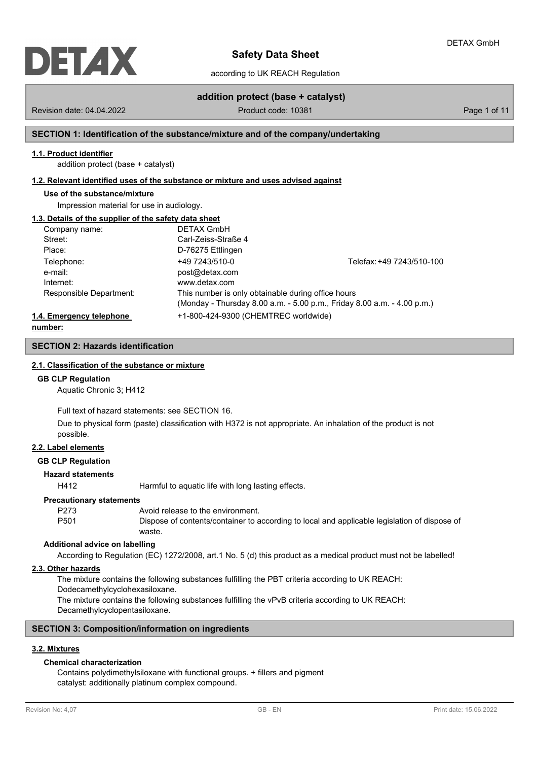

according to UK REACH Regulation

Revision date: 04.04.2022 Product code: 10381 Page 1 of 11

**addition protect (base + catalyst)**

## **SECTION 1: Identification of the substance/mixture and of the company/undertaking**

#### **1.1. Product identifier**

addition protect (base + catalyst)

#### **1.2. Relevant identified uses of the substance or mixture and uses advised against**

## **Use of the substance/mixture**

Impression material for use in audiology.

### **1.3. Details of the supplier of the safety data sheet**

| Company name:            | <b>DETAX GmbH</b>                                  |                                                                         |
|--------------------------|----------------------------------------------------|-------------------------------------------------------------------------|
| Street:                  | Carl-Zeiss-Straße 4                                |                                                                         |
| Place:                   | D-76275 Ettlingen                                  |                                                                         |
| Telephone:               | +49 7243/510-0                                     | Telefax: +49 7243/510-100                                               |
| e-mail:                  | post@detax.com                                     |                                                                         |
| Internet:                | www.detax.com                                      |                                                                         |
| Responsible Department:  | This number is only obtainable during office hours |                                                                         |
|                          |                                                    | (Monday - Thursday 8.00 a.m. - 5.00 p.m., Friday 8.00 a.m. - 4.00 p.m.) |
| 1.4. Emergency telephone | +1-800-424-9300 (CHEMTREC worldwide)               |                                                                         |

**number:**

## **SECTION 2: Hazards identification**

## **2.1. Classification of the substance or mixture**

#### **GB CLP Regulation**

Aquatic Chronic 3; H412

Full text of hazard statements: see SECTION 16.

Due to physical form (paste) classification with H372 is not appropriate. An inhalation of the product is not possible.

#### **2.2. Label elements**

**GB CLP Regulation**

## **Hazard statements**

H412 Harmful to aquatic life with long lasting effects.

#### **Precautionary statements**

P273 Avoid release to the environment. P501 Dispose of contents/container to according to local and applicable legislation of dispose of waste.

#### **Additional advice on labelling**

According to Regulation (EC) 1272/2008, art.1 No. 5 (d) this product as a medical product must not be labelled!

#### **2.3. Other hazards**

The mixture contains the following substances fulfilling the PBT criteria according to UK REACH:

Dodecamethylcyclohexasiloxane.

The mixture contains the following substances fulfilling the vPvB criteria according to UK REACH: Decamethylcyclopentasiloxane.

### **SECTION 3: Composition/information on ingredients**

### **3.2. Mixtures**

### **Chemical characterization**

Contains polydimethylsiloxane with functional groups. + fillers and pigment catalyst: additionally platinum complex compound.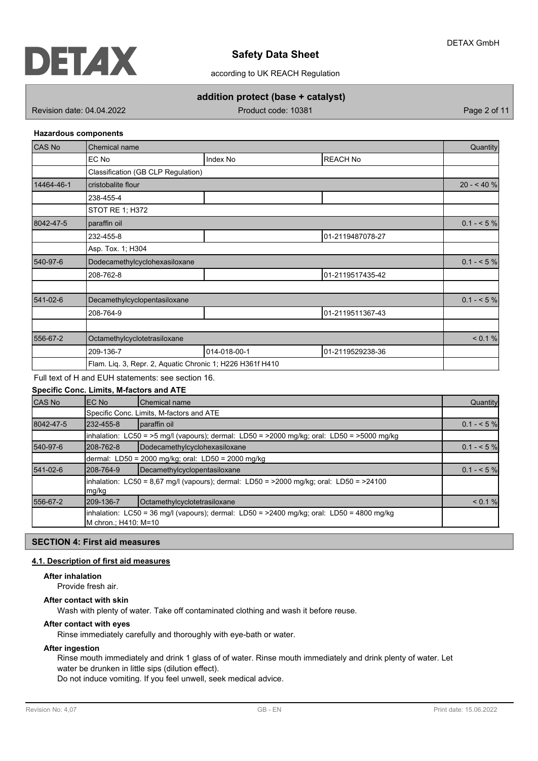

according to UK REACH Regulation

# **addition protect (base + catalyst)**

Revision date: 04.04.2022 Product code: 10381 Page 2 of 11

#### **Hazardous components**

| <b>CAS No</b> | Chemical name                                             |              |                  | Quantity     |
|---------------|-----------------------------------------------------------|--------------|------------------|--------------|
|               | EC No                                                     | Index No     | <b>REACH No</b>  |              |
|               | Classification (GB CLP Regulation)                        |              |                  |              |
| 14464-46-1    | cristobalite flour                                        |              |                  | $20 - 40 \%$ |
|               | 238-455-4                                                 |              |                  |              |
|               | STOT RE 1; H372                                           |              |                  |              |
| 8042-47-5     | paraffin oil                                              |              |                  | $0.1 - 5\%$  |
|               | 232-455-8                                                 |              | 01-2119487078-27 |              |
|               | Asp. Tox. 1; H304                                         |              |                  |              |
| 540-97-6      | Dodecamethylcyclohexasiloxane                             |              |                  | $0.1 - 5\%$  |
|               | 208-762-8                                                 |              | 01-2119517435-42 |              |
|               |                                                           |              |                  |              |
| 541-02-6      | Decamethylcyclopentasiloxane                              |              |                  | $0.1 - 5\%$  |
|               | 208-764-9                                                 |              | 01-2119511367-43 |              |
|               |                                                           |              |                  |              |
| 556-67-2      | Octamethylcyclotetrasiloxane                              |              |                  | < 0.1 %      |
|               | 209-136-7                                                 | 014-018-00-1 | 01-2119529238-36 |              |
|               | Flam. Liq. 3, Repr. 2, Aquatic Chronic 1; H226 H361f H410 |              |                  |              |

# Full text of H and EUH statements: see section 16.

## **Specific Conc. Limits, M-factors and ATE**

| CAS No    | EC No                  | <b>Chemical name</b>                                                                                     | Quantity    |
|-----------|------------------------|----------------------------------------------------------------------------------------------------------|-------------|
|           |                        | Specific Conc. Limits, M-factors and ATE                                                                 |             |
| 8042-47-5 | 232-455-8              | paraffin oil                                                                                             | $0.1 - 5%$  |
|           |                        | $\frac{1}{2}$ inhalation: LC50 = >5 mg/l (vapours); dermal: LD50 = >2000 mg/kg; oral: LD50 = >5000 mg/kg |             |
| 540-97-6  | 208-762-8              | Dodecamethylcyclohexasiloxane                                                                            | $0.1 - 5\%$ |
|           |                        | dermal: LD50 = 2000 mg/kg; oral: LD50 = 2000 mg/kg                                                       |             |
| 541-02-6  | 208-764-9              | Decamethylcyclopentasiloxane                                                                             |             |
|           | mg/kg                  | $\lambda$ inhalation: LC50 = 8.67 mg/l (vapours); dermal: LD50 = >2000 mg/kg; oral: LD50 = >24100        |             |
| 556-67-2  | 209-136-7              | Octamethylcyclotetrasiloxane                                                                             | < 0.1 %     |
|           | IM chron.: H410: M=10_ | $\frac{1}{2}$ inhalation: LC50 = 36 mg/l (vapours); dermal: LD50 = >2400 mg/kg; oral: LD50 = 4800 mg/kg  |             |

## **SECTION 4: First aid measures**

# **4.1. Description of first aid measures**

#### **After inhalation**

Provide fresh air.

## **After contact with skin**

Wash with plenty of water. Take off contaminated clothing and wash it before reuse.

## **After contact with eyes**

Rinse immediately carefully and thoroughly with eye-bath or water.

## **After ingestion**

Rinse mouth immediately and drink 1 glass of of water. Rinse mouth immediately and drink plenty of water. Let water be drunken in little sips (dilution effect).

Do not induce vomiting. If you feel unwell, seek medical advice.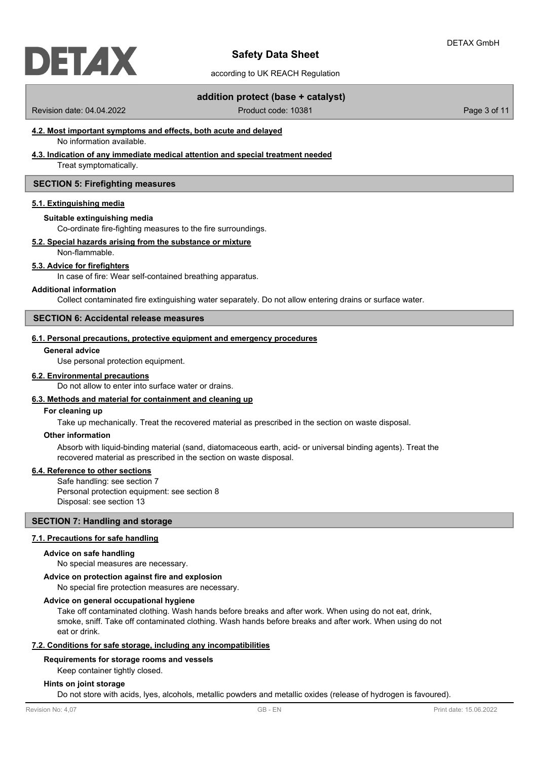

according to UK REACH Regulation

## **addition protect (base + catalyst)**

Revision date: 04.04.2022 Product code: 10381 Page 3 of 11

# **4.2. Most important symptoms and effects, both acute and delayed**

No information available.

# **4.3. Indication of any immediate medical attention and special treatment needed**

Treat symptomatically.

## **SECTION 5: Firefighting measures**

#### **5.1. Extinguishing media**

#### **Suitable extinguishing media**

Co-ordinate fire-fighting measures to the fire surroundings.

### **5.2. Special hazards arising from the substance or mixture**

Non-flammable.

#### **5.3. Advice for firefighters**

In case of fire: Wear self-contained breathing apparatus.

#### **Additional information**

Collect contaminated fire extinguishing water separately. Do not allow entering drains or surface water.

## **SECTION 6: Accidental release measures**

## **6.1. Personal precautions, protective equipment and emergency procedures**

## **General advice**

Use personal protection equipment.

#### **6.2. Environmental precautions**

Do not allow to enter into surface water or drains.

### **6.3. Methods and material for containment and cleaning up**

#### **For cleaning up**

Take up mechanically. Treat the recovered material as prescribed in the section on waste disposal.

#### **Other information**

Absorb with liquid-binding material (sand, diatomaceous earth, acid- or universal binding agents). Treat the recovered material as prescribed in the section on waste disposal.

#### **6.4. Reference to other sections**

Safe handling: see section 7 Personal protection equipment: see section 8 Disposal: see section 13

#### **SECTION 7: Handling and storage**

## **7.1. Precautions for safe handling**

## **Advice on safe handling**

No special measures are necessary.

## **Advice on protection against fire and explosion**

No special fire protection measures are necessary.

### **Advice on general occupational hygiene**

Take off contaminated clothing. Wash hands before breaks and after work. When using do not eat, drink, smoke, sniff. Take off contaminated clothing. Wash hands before breaks and after work. When using do not eat or drink.

#### **7.2. Conditions for safe storage, including any incompatibilities**

### **Requirements for storage rooms and vessels**

Keep container tightly closed.

#### **Hints on joint storage**

Do not store with acids, lyes, alcohols, metallic powders and metallic oxides (release of hydrogen is favoured).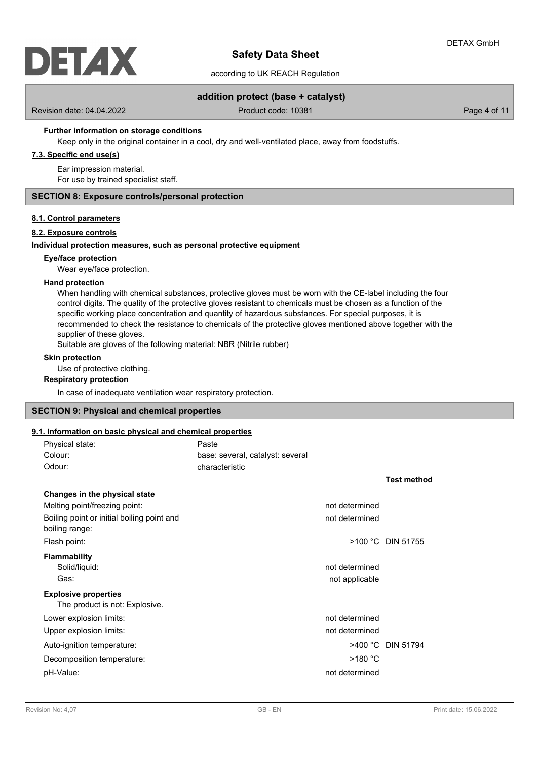

according to UK REACH Regulation

## **addition protect (base + catalyst)**

Revision date: 04.04.2022 Product code: 10381 Page 4 of 11

### **Further information on storage conditions**

Keep only in the original container in a cool, dry and well-ventilated place, away from foodstuffs.

## **7.3. Specific end use(s)**

Ear impression material. For use by trained specialist staff.

### **SECTION 8: Exposure controls/personal protection**

#### **8.1. Control parameters**

#### **8.2. Exposure controls**

#### **Individual protection measures, such as personal protective equipment**

## **Eye/face protection**

Wear eye/face protection.

#### **Hand protection**

When handling with chemical substances, protective gloves must be worn with the CE-label including the four control digits. The quality of the protective gloves resistant to chemicals must be chosen as a function of the specific working place concentration and quantity of hazardous substances. For special purposes, it is recommended to check the resistance to chemicals of the protective gloves mentioned above together with the supplier of these gloves.

Suitable are gloves of the following material: NBR (Nitrile rubber)

## **Skin protection**

Use of protective clothing.

### **Respiratory protection**

In case of inadequate ventilation wear respiratory protection.

### **SECTION 9: Physical and chemical properties**

## **9.1. Information on basic physical and chemical properties**

| Physical state:                                               | Paste                            |                    |
|---------------------------------------------------------------|----------------------------------|--------------------|
| Colour:                                                       | base: several, catalyst: several |                    |
| Odour:                                                        | characteristic                   |                    |
|                                                               |                                  | <b>Test method</b> |
| Changes in the physical state                                 |                                  |                    |
| Melting point/freezing point:                                 | not determined                   |                    |
| Boiling point or initial boiling point and<br>boiling range:  | not determined                   |                    |
| Flash point:                                                  |                                  | >100 °C DIN 51755  |
| <b>Flammability</b><br>Solid/liquid:                          | not determined                   |                    |
| Gas:                                                          | not applicable                   |                    |
| <b>Explosive properties</b><br>The product is not: Explosive. |                                  |                    |
| Lower explosion limits:                                       | not determined                   |                    |
| Upper explosion limits:                                       | not determined                   |                    |
| Auto-ignition temperature:                                    |                                  | >400 °C DIN 51794  |
| Decomposition temperature:                                    | $>180$ °C                        |                    |
| pH-Value:                                                     | not determined                   |                    |
|                                                               |                                  |                    |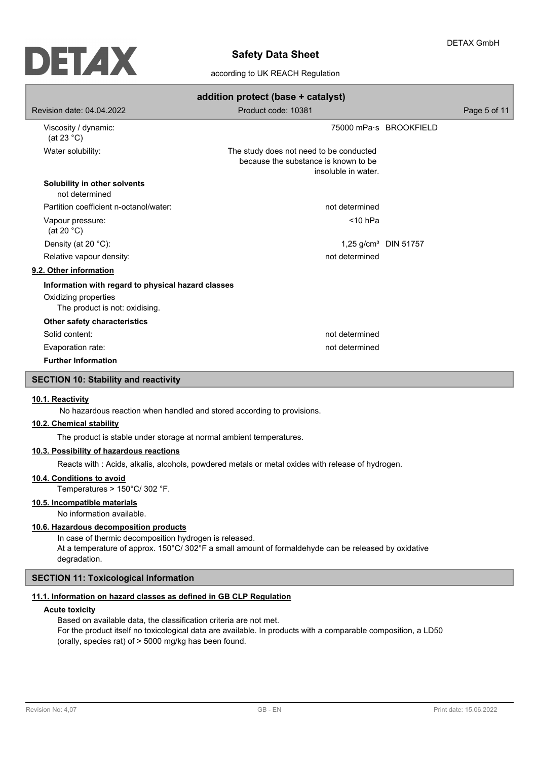

according to UK REACH Regulation

|                                                        | addition protect (base + catalyst)                                                                     |                                  |  |  |  |
|--------------------------------------------------------|--------------------------------------------------------------------------------------------------------|----------------------------------|--|--|--|
| Revision date: 04.04.2022                              | Product code: 10381                                                                                    | Page 5 of 11                     |  |  |  |
| Viscosity / dynamic:<br>(at 23 $^{\circ}$ C)           |                                                                                                        | 75000 mPa s BROOKFIELD           |  |  |  |
| Water solubility:                                      | The study does not need to be conducted<br>because the substance is known to be<br>insoluble in water. |                                  |  |  |  |
| Solubility in other solvents<br>not determined         |                                                                                                        |                                  |  |  |  |
| Partition coefficient n-octanol/water:                 | not determined                                                                                         |                                  |  |  |  |
| Vapour pressure:<br>(at 20 $°C$ )                      | $<$ 10 hPa                                                                                             |                                  |  |  |  |
| Density (at 20 °C):                                    |                                                                                                        | 1,25 g/cm <sup>3</sup> DIN 51757 |  |  |  |
| Relative vapour density:                               | not determined                                                                                         |                                  |  |  |  |
| 9.2. Other information                                 |                                                                                                        |                                  |  |  |  |
| Information with regard to physical hazard classes     |                                                                                                        |                                  |  |  |  |
| Oxidizing properties<br>The product is not: oxidising. |                                                                                                        |                                  |  |  |  |
| Other safety characteristics                           |                                                                                                        |                                  |  |  |  |
| Solid content:                                         | not determined                                                                                         |                                  |  |  |  |
| Evaporation rate:                                      | not determined                                                                                         |                                  |  |  |  |
| <b>Further Information</b>                             |                                                                                                        |                                  |  |  |  |
| <b>SECTION 10: Stability and reactivity</b>            |                                                                                                        |                                  |  |  |  |
|                                                        |                                                                                                        |                                  |  |  |  |

### **10.1. Reactivity**

No hazardous reaction when handled and stored according to provisions.

## **10.2. Chemical stability**

The product is stable under storage at normal ambient temperatures.

## **10.3. Possibility of hazardous reactions**

Reacts with : Acids, alkalis, alcohols, powdered metals or metal oxides with release of hydrogen.

## **10.4. Conditions to avoid**

Temperatures > 150°C/ 302 °F.

### **10.5. Incompatible materials**

No information available.

## **10.6. Hazardous decomposition products**

In case of thermic decomposition hydrogen is released. At a temperature of approx. 150°C/ 302°F a small amount of formaldehyde can be released by oxidative degradation.

## **SECTION 11: Toxicological information**

## **11.1. Information on hazard classes as defined in GB CLP Regulation**

#### **Acute toxicity**

Based on available data, the classification criteria are not met. For the product itself no toxicological data are available. In products with a comparable composition, a LD50 (orally, species rat) of > 5000 mg/kg has been found.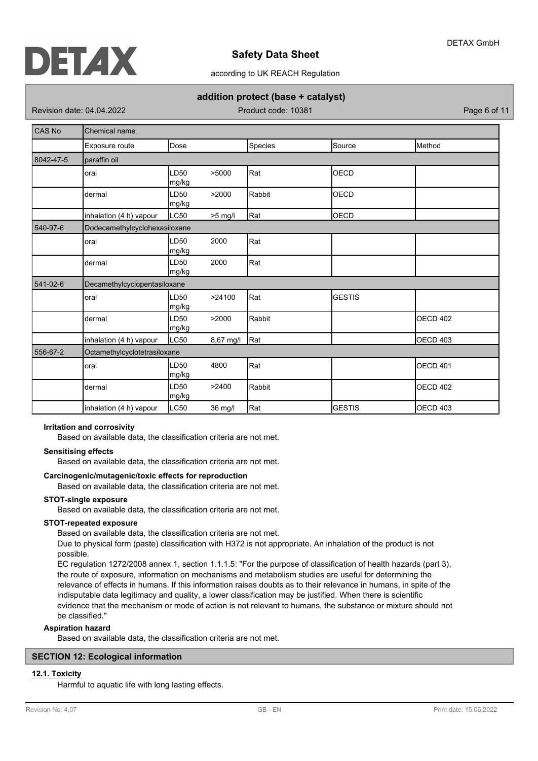

according to UK REACH Regulation

## **addition protect (base + catalyst)**

Revision date: 04.04.2022 Product code: 10381 Page 6 of 11

| CAS No    | Chemical name                 |                           |           |         |               |                 |
|-----------|-------------------------------|---------------------------|-----------|---------|---------------|-----------------|
|           | Exposure route                | <b>Dose</b>               |           | Species | Source        | Method          |
| 8042-47-5 | paraffin oil                  |                           |           |         |               |                 |
|           | oral                          | LD <sub>50</sub><br>mg/kg | >5000     | Rat     | <b>OECD</b>   |                 |
|           | dermal                        | LD <sub>50</sub><br>mg/kg | >2000     | Rabbit  | OECD          |                 |
|           | inhalation (4 h) vapour       | LC50                      | $>5$ mg/l | Rat     | <b>OECD</b>   |                 |
| 540-97-6  | Dodecamethylcyclohexasiloxane |                           |           |         |               |                 |
|           | oral                          | LD <sub>50</sub><br>mg/kg | 2000      | Rat     |               |                 |
|           | dermal                        | LD <sub>50</sub><br>mg/kg | 2000      | Rat     |               |                 |
| 541-02-6  | Decamethylcyclopentasiloxane  |                           |           |         |               |                 |
|           | oral                          | LD <sub>50</sub><br>mg/kg | >24100    | Rat     | <b>GESTIS</b> |                 |
|           | dermal                        | LD <sub>50</sub><br>mg/kg | >2000     | Rabbit  |               | <b>OECD 402</b> |
|           | inhalation (4 h) vapour       | LC50                      | 8,67 mg/l | Rat     |               | <b>OECD 403</b> |
| 556-67-2  | Octamethylcyclotetrasiloxane  |                           |           |         |               |                 |
|           | oral                          | LD <sub>50</sub><br>mg/kg | 4800      | Rat     |               | <b>OECD 401</b> |
|           | dermal                        | LD <sub>50</sub><br>mg/kg | >2400     | Rabbit  |               | <b>OECD 402</b> |
|           | inhalation (4 h) vapour       | LC50                      | 36 mg/l   | Rat     | <b>GESTIS</b> | OECD 403        |

## **Irritation and corrosivity**

Based on available data, the classification criteria are not met.

#### **Sensitising effects**

Based on available data, the classification criteria are not met.

### **Carcinogenic/mutagenic/toxic effects for reproduction**

Based on available data, the classification criteria are not met.

### **STOT-single exposure**

Based on available data, the classification criteria are not met.

### **STOT-repeated exposure**

Based on available data, the classification criteria are not met.

Due to physical form (paste) classification with H372 is not appropriate. An inhalation of the product is not possible.

EC regulation 1272/2008 annex 1, section 1.1.1.5: "For the purpose of classification of health hazards (part 3), the route of exposure, information on mechanisms and metabolism studies are useful for determining the relevance of effects in humans. If this information raises doubts as to their relevance in humans, in spite of the indisputable data legitimacy and quality, a lower classification may be justified. When there is scientific evidence that the mechanism or mode of action is not relevant to humans, the substance or mixture should not be classified."

### **Aspiration hazard**

Based on available data, the classification criteria are not met.

### **SECTION 12: Ecological information**

## **12.1. Toxicity**

Harmful to aquatic life with long lasting effects.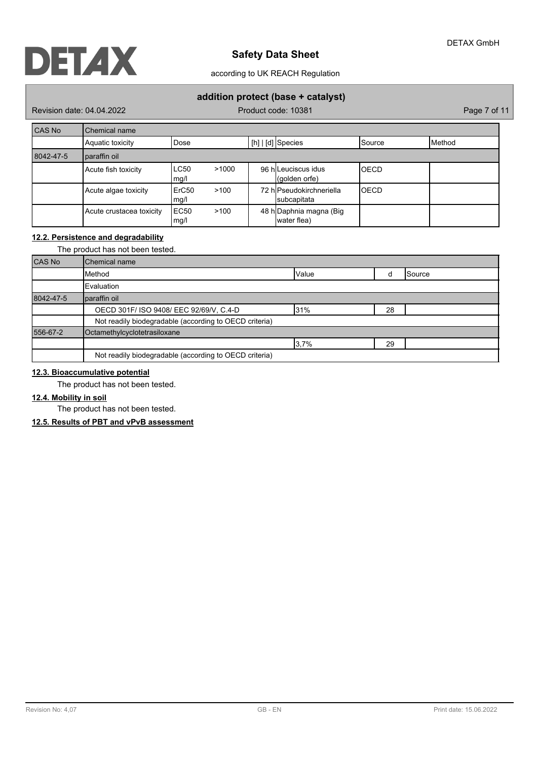according to UK REACH Regulation

# **addition protect (base + catalyst)**

Revision date: 04.04.2022 Product code: 10381 Page 7 of 11

| CAS No    | Chemical name            |               |       |                                         |                 |                 |
|-----------|--------------------------|---------------|-------|-----------------------------------------|-----------------|-----------------|
|           | Aquatic toxicity         | Dose)         |       | $[h]   [d]$ Species                     | <b>I</b> Source | <b>I</b> Method |
| 8042-47-5 | paraffin oil             |               |       |                                         |                 |                 |
|           | Acute fish toxicity      | LC50<br>mg/l  | >1000 | 96 h Leuciscus idus<br>(golden orfe)    | IOECD           |                 |
|           | Acute algae toxicity     | ErC50<br>mg/l | >100  | 72 hlPseudokirchneriella<br>subcapitata | IOECD           |                 |
|           | Acute crustacea toxicity | EC50<br>mg/l  | >100  | 48 h Daphnia magna (Big<br>water flea)  |                 |                 |

## **12.2. Persistence and degradability**

|           | The product has not been tested.                       |  |  |  |  |
|-----------|--------------------------------------------------------|--|--|--|--|
| CAS No    | Chemical name                                          |  |  |  |  |
|           | Value<br>Method<br>Source                              |  |  |  |  |
|           | Evaluation                                             |  |  |  |  |
| 8042-47-5 | paraffin oil                                           |  |  |  |  |
|           | OECD 301F/ ISO 9408/ EEC 92/69/V, C.4-D<br>31%<br>28   |  |  |  |  |
|           | Not readily biodegradable (according to OECD criteria) |  |  |  |  |
| 556-67-2  | Octamethylcyclotetrasiloxane                           |  |  |  |  |
|           | 3.7%<br>29                                             |  |  |  |  |
|           | Not readily biodegradable (according to OECD criteria) |  |  |  |  |

## **12.3. Bioaccumulative potential**

The product has not been tested.

## **12.4. Mobility in soil**

The product has not been tested.

**12.5. Results of PBT and vPvB assessment**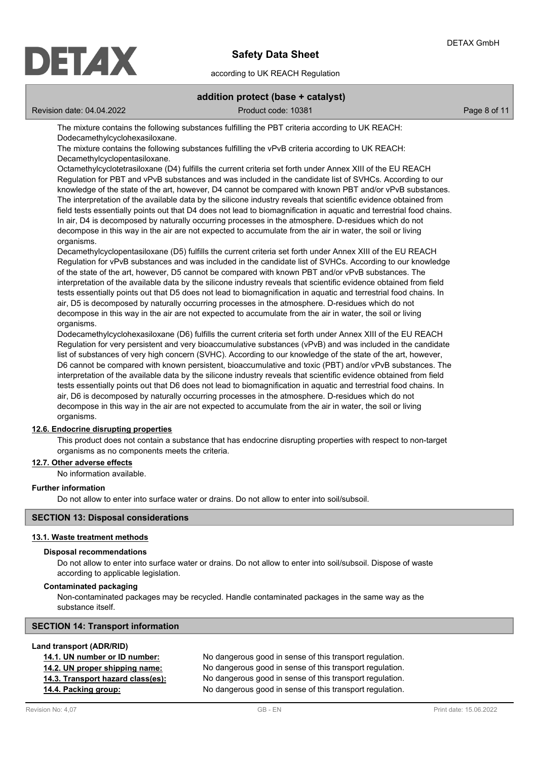

according to UK REACH Regulation

## **addition protect (base + catalyst)**

Revision date: 04.04.2022 Product code: 10381 Page 8 of 11

The mixture contains the following substances fulfilling the PBT criteria according to UK REACH: Dodecamethylcyclohexasiloxane.

The mixture contains the following substances fulfilling the vPvB criteria according to UK REACH: Decamethylcyclopentasiloxane.

Octamethylcyclotetrasiloxane (D4) fulfills the current criteria set forth under Annex XIII of the EU REACH Regulation for PBT and vPvB substances and was included in the candidate list of SVHCs. According to our knowledge of the state of the art, however, D4 cannot be compared with known PBT and/or vPvB substances. The interpretation of the available data by the silicone industry reveals that scientific evidence obtained from field tests essentially points out that D4 does not lead to biomagnification in aquatic and terrestrial food chains. In air, D4 is decomposed by naturally occurring processes in the atmosphere. D-residues which do not decompose in this way in the air are not expected to accumulate from the air in water, the soil or living organisms.

Decamethylcyclopentasiloxane (D5) fulfills the current criteria set forth under Annex XIII of the EU REACH Regulation for vPvB substances and was included in the candidate list of SVHCs. According to our knowledge of the state of the art, however, D5 cannot be compared with known PBT and/or vPvB substances. The interpretation of the available data by the silicone industry reveals that scientific evidence obtained from field tests essentially points out that D5 does not lead to biomagnification in aquatic and terrestrial food chains. In air, D5 is decomposed by naturally occurring processes in the atmosphere. D-residues which do not decompose in this way in the air are not expected to accumulate from the air in water, the soil or living organisms.

Dodecamethylcyclohexasiloxane (D6) fulfills the current criteria set forth under Annex XIII of the EU REACH Regulation for very persistent and very bioaccumulative substances (vPvB) and was included in the candidate list of substances of very high concern (SVHC). According to our knowledge of the state of the art, however, D6 cannot be compared with known persistent, bioaccumulative and toxic (PBT) and/or vPvB substances. The interpretation of the available data by the silicone industry reveals that scientific evidence obtained from field tests essentially points out that D6 does not lead to biomagnification in aquatic and terrestrial food chains. In air, D6 is decomposed by naturally occurring processes in the atmosphere. D-residues which do not decompose in this way in the air are not expected to accumulate from the air in water, the soil or living organisms.

## **12.6. Endocrine disrupting properties**

This product does not contain a substance that has endocrine disrupting properties with respect to non-target organisms as no components meets the criteria.

## **12.7. Other adverse effects**

No information available.

## **Further information**

Do not allow to enter into surface water or drains. Do not allow to enter into soil/subsoil.

## **SECTION 13: Disposal considerations**

#### **13.1. Waste treatment methods**

## **Disposal recommendations**

Do not allow to enter into surface water or drains. Do not allow to enter into soil/subsoil. Dispose of waste according to applicable legislation.

### **Contaminated packaging**

Non-contaminated packages may be recycled. Handle contaminated packages in the same way as the substance itself.

## **SECTION 14: Transport information**

#### **Land transport (ADR/RID)**

| 14.1. UN number or ID number:     | No dangerous good in sense of this transport regulation. |
|-----------------------------------|----------------------------------------------------------|
| 14.2. UN proper shipping name:    | No dangerous good in sense of this transport regulation. |
| 14.3. Transport hazard class(es): | No dangerous good in sense of this transport regulation. |
| 14.4. Packing group:              | No dangerous good in sense of this transport regulation. |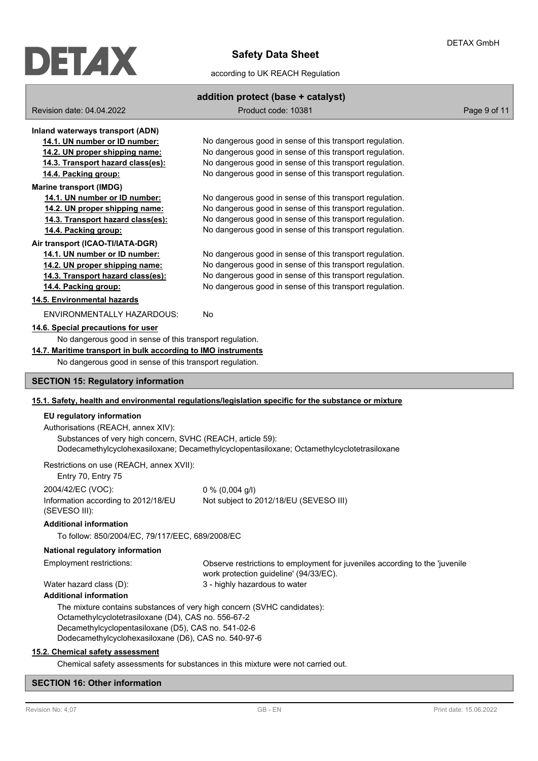

## according to UK REACH Regulation

## **addition protect (base + catalyst)**

Revision date: 04.04.2022 Product code: 10381 Page 9 of 11

**Inland waterways transport (ADN) 14.1. UN number or ID number:** No dangerous good in sense of this transport regulation. **14.2. UN proper shipping name:** No dangerous good in sense of this transport regulation. **14.3. Transport hazard class(es):** No dangerous good in sense of this transport regulation. **14.4. Packing group:** No dangerous good in sense of this transport regulation. **Marine transport (IMDG) 14.1. UN number or ID number:** No dangerous good in sense of this transport regulation. **14.2. UN proper shipping name:** No dangerous good in sense of this transport regulation. **14.3. Transport hazard class(es):** No dangerous good in sense of this transport regulation. **14.4. Packing group:** No dangerous good in sense of this transport regulation. **Air transport (ICAO-TI/IATA-DGR) 14.1. UN number or ID number:** No dangerous good in sense of this transport regulation. **14.2. UN proper shipping name:** No dangerous good in sense of this transport regulation. **14.3. Transport hazard class(es):** No dangerous good in sense of this transport regulation. **14.4. Packing group:** No dangerous good in sense of this transport regulation. **14.5. Environmental hazards** ENVIRONMENTALLY HAZARDOUS: No **14.6. Special precautions for user** No dangerous good in sense of this transport regulation. **14.7. Maritime transport in bulk according to IMO instruments** No dangerous good in sense of this transport regulation. **SECTION 15: Regulatory information 15.1. Safety, health and environmental regulations/legislation specific for the substance or mixture EU regulatory information** Authorisations (REACH, annex XIV): Substances of very high concern, SVHC (REACH, article 59): Dodecamethylcyclohexasiloxane; Decamethylcyclopentasiloxane; Octamethylcyclotetrasiloxane Restrictions on use (REACH, annex XVII): Entry 70, Entry 75 2004/42/EC (VOC): 0 % (0,004 g/l) Information according to 2012/18/EU (SEVESO III): Not subject to 2012/18/EU (SEVESO III) **Additional information** To follow: 850/2004/EC, 79/117/EEC, 689/2008/EC **National regulatory information** Observe restrictions to employment for juveniles according to the 'juvenile work protection guideline' (94/33/EC). Employment restrictions: Water hazard class (D): 3 - highly hazardous to water **Additional information** The mixture contains substances of very high concern (SVHC candidates): Octamethylcyclotetrasiloxane (D4), CAS no. 556-67-2 Decamethylcyclopentasiloxane (D5), CAS no. 541-02-6 Dodecamethylcyclohexasiloxane (D6), CAS no. 540-97-6 **15.2. Chemical safety assessment**

## Chemical safety assessments for substances in this mixture were not carried out.

## **SECTION 16: Other information**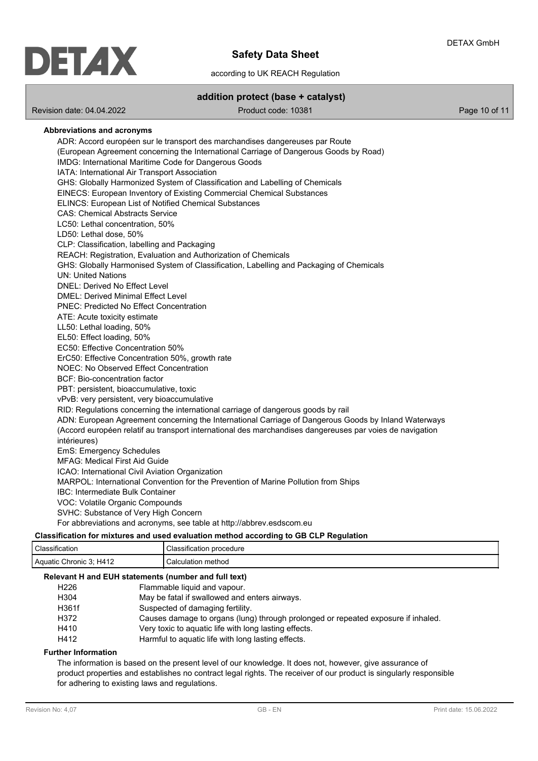

according to UK REACH Regulation

**addition protect (base + catalyst)**

Revision date: 04.04.2022 Product code: 10381 Page 10 of 11

## **Abbreviations and acronyms** ADR: Accord européen sur le transport des marchandises dangereuses par Route (European Agreement concerning the International Carriage of Dangerous Goods by Road) IMDG: International Maritime Code for Dangerous Goods IATA: International Air Transport Association GHS: Globally Harmonized System of Classification and Labelling of Chemicals EINECS: European Inventory of Existing Commercial Chemical Substances ELINCS: European List of Notified Chemical Substances CAS: Chemical Abstracts Service LC50: Lethal concentration, 50% LD50: Lethal dose, 50% CLP: Classification, labelling and Packaging REACH: Registration, Evaluation and Authorization of Chemicals GHS: Globally Harmonised System of Classification, Labelling and Packaging of Chemicals UN: United Nations DNEL: Derived No Effect Level DMEL: Derived Minimal Effect Level PNEC: Predicted No Effect Concentration ATE: Acute toxicity estimate LL50: Lethal loading, 50% EL50: Effect loading, 50% EC50: Effective Concentration 50% ErC50: Effective Concentration 50%, growth rate NOEC: No Observed Effect Concentration BCF: Bio-concentration factor PBT: persistent, bioaccumulative, toxic vPvB: very persistent, very bioaccumulative RID: Regulations concerning the international carriage of dangerous goods by rail ADN: European Agreement concerning the International Carriage of Dangerous Goods by Inland Waterways (Accord européen relatif au transport international des marchandises dangereuses par voies de navigation intérieures) EmS: Emergency Schedules MFAG: Medical First Aid Guide ICAO: International Civil Aviation Organization MARPOL: International Convention for the Prevention of Marine Pollution from Ships IBC: Intermediate Bulk Container VOC: Volatile Organic Compounds SVHC: Substance of Very High Concern For abbreviations and acronyms, see table at http://abbrev.esdscom.eu **Classification for mixtures and used evaluation method according to GB CLP Regulation**

| Glassification for mixtures and used evaluation method according to GB GLF Regulation |                          |  |
|---------------------------------------------------------------------------------------|--------------------------|--|
| <sup>1</sup> Classification                                                           | Classification procedure |  |
| Aquatic Chronic 3: H412                                                               | Calculation method       |  |
| _____                                                                                 |                          |  |

## **Relevant H and EUH statements (number and full text)**

| H <sub>226</sub> | Flammable liquid and vapour.                                                      |
|------------------|-----------------------------------------------------------------------------------|
| H304             | May be fatal if swallowed and enters airways.                                     |
| H361f            | Suspected of damaging fertility.                                                  |
| H372             | Causes damage to organs (lung) through prolonged or repeated exposure if inhaled. |
| H410             | Very toxic to aguatic life with long lasting effects.                             |
| H412             | Harmful to aquatic life with long lasting effects.                                |

#### **Further Information**

The information is based on the present level of our knowledge. It does not, however, give assurance of product properties and establishes no contract legal rights. The receiver of our product is singularly responsible for adhering to existing laws and regulations.